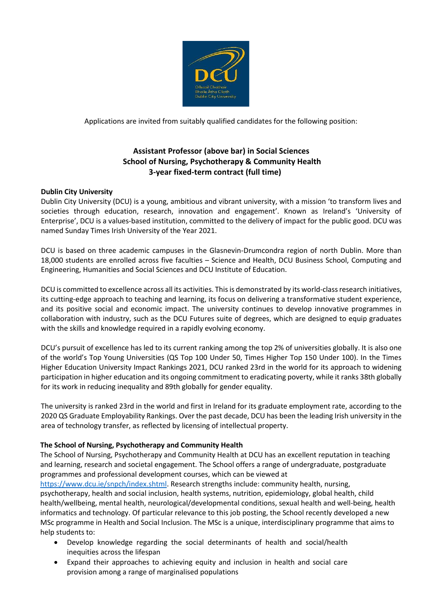

Applications are invited from suitably qualified candidates for the following position:

# **Assistant Professor (above bar) in Social Sciences School of Nursing, Psychotherapy & Community Health 3-year fixed-term contract (full time)**

# **Dublin City University**

Dublin City University (DCU) is a young, ambitious and vibrant university, with a mission 'to transform lives and societies through education, research, innovation and engagement'. Known as Ireland's 'University of Enterprise', DCU is a values-based institution, committed to the delivery of impact for the public good. DCU was named Sunday Times Irish University of the Year 2021.

DCU is based on three academic campuses in the Glasnevin-Drumcondra region of north Dublin. More than 18,000 students are enrolled across five faculties – Science and Health, DCU Business School, Computing and Engineering, Humanities and Social Sciences and DCU Institute of Education.

DCU is committed to excellence across all its activities. This is demonstrated by its world-class research initiatives, its cutting-edge approach to teaching and learning, its focus on delivering a transformative student experience, and its positive social and economic impact. The university continues to develop innovative programmes in collaboration with industry, such as the DCU Futures suite of degrees, which are designed to equip graduates with the skills and knowledge required in a rapidly evolving economy.

DCU's pursuit of excellence has led to its current ranking among the top 2% of universities globally. It is also one of the world's Top Young Universities (QS Top 100 Under 50, Times Higher Top 150 Under 100). In the Times Higher Education University Impact Rankings 2021, DCU ranked 23rd in the world for its approach to widening participation in higher education and its ongoing commitment to eradicating poverty, while it ranks 38th globally for its work in reducing inequality and 89th globally for gender equality.

The university is ranked 23rd in the world and first in Ireland for its graduate employment rate, according to the 2020 QS Graduate Employability Rankings. Over the past decade, DCU has been the leading Irish university in the area of technology transfer, as reflected by licensing of intellectual property.

## **The School of Nursing, Psychotherapy and Community Health**

The School of Nursing, Psychotherapy and Community Health at DCU has an excellent reputation in teaching and learning, research and societal engagement. The School offers a range of undergraduate, postgraduate programmes and professional development courses, which can be viewed at

[https://www.dcu.ie/snpch/index.shtml.](https://www.dcu.ie/snpch/index.shtml) Research strengths include: community health, nursing, psychotherapy, health and social inclusion, health systems, nutrition, epidemiology, global health, child health/wellbeing, mental health, neurological/developmental conditions, sexual health and well-being, health informatics and technology. Of particular relevance to this job posting, the School recently developed a new MSc programme in Health and Social Inclusion. The MSc is a unique, interdisciplinary programme that aims to help students to:

- Develop knowledge regarding the social determinants of health and social/health inequities across the lifespan
- Expand their approaches to achieving equity and inclusion in health and social care provision among a range of marginalised populations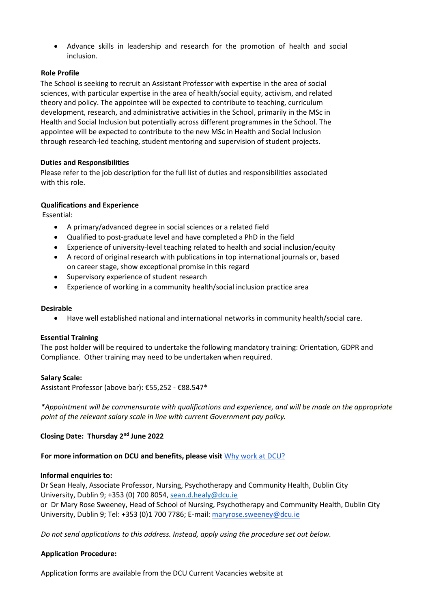Advance skills in leadership and research for the promotion of health and social inclusion.

### **Role Profile**

The School is seeking to recruit an Assistant Professor with expertise in the area of social sciences, with particular expertise in the area of health/social equity, activism, and related theory and policy. The appointee will be expected to contribute to teaching, curriculum development, research, and administrative activities in the School, primarily in the MSc in Health and Social Inclusion but potentially across different programmes in the School. The appointee will be expected to contribute to the new MSc in Health and Social Inclusion through research-led teaching, student mentoring and supervision of student projects.

### **Duties and Responsibilities**

Please refer to the job description for the full list of duties and responsibilities associated with this role.

### **Qualifications and Experience**

Essential:

- A primary/advanced degree in social sciences or a related field
- Qualified to post-graduate level and have completed a PhD in the field
- Experience of university-level teaching related to health and social inclusion/equity
- A record of original research with publications in top international journals or, based on career stage, show exceptional promise in this regard
- Supervisory experience of student research
- Experience of working in a community health/social inclusion practice area

#### **Desirable**

Have well established national and international networks in community health/social care.

#### **Essential Training**

The post holder will be required to undertake the following mandatory training: Orientation, GDPR and Compliance. Other training may need to be undertaken when required.

#### **Salary Scale:**

Assistant Professor (above bar): €55,252 - €88.547\*

*\*Appointment will be commensurate with qualifications and experience, and will be made on the appropriate point of the relevant salary scale in line with current Government pay policy.*

## **Closing Date: Thursday 2nd June 2022**

#### **For more information on DCU and benefits, please visit** [Why work at DCU?](https://www.dcu.ie/hr/why-work-dcu)

#### **Informal enquiries to:**

Dr Sean Healy, Associate Professor, Nursing, Psychotherapy and Community Health, Dublin City University, Dublin 9; +353 (0) 700 8054[, sean.d.healy@dcu.ie](mailto:sean.d.healy@dcu.ie) orDr Mary Rose Sweeney, Head of School of Nursing, Psychotherapy and Community Health, Dublin City University, Dublin 9; Tel: +353 (0)1 700 7786; E-mail: maryrose.sweeney@dcu.ie

*Do not send applications to this address. Instead, apply using the procedure set out below.* 

# **Application Procedure:**

Application forms are available from the DCU Current Vacancies website at